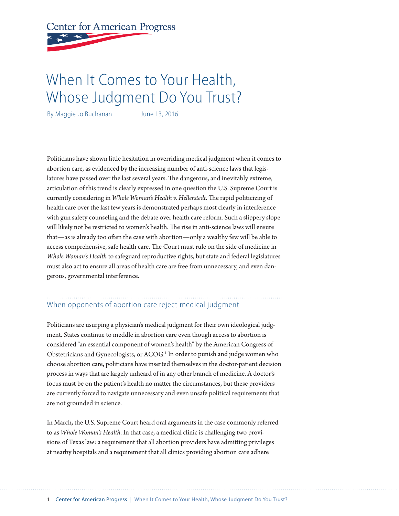**Center for American Progress** 

# When It Comes to Your Health, Whose Judgment Do You Trust?

By Maggie Jo Buchanan June 13, 2016

Politicians have shown little hesitation in overriding medical judgment when it comes to abortion care, as evidenced by the increasing number of anti-science laws that legislatures have passed over the last several years. The dangerous, and inevitably extreme, articulation of this trend is clearly expressed in one question the U.S. Supreme Court is currently considering in *Whole Woman's Health v. Hellerstedt.* The rapid politicizing of health care over the last few years is demonstrated perhaps most clearly in interference with gun safety counseling and the debate over health care reform. Such a slippery slope will likely not be restricted to women's health. The rise in anti-science laws will ensure that—as is already too often the case with abortion—only a wealthy few will be able to access comprehensive, safe health care. The Court must rule on the side of medicine in *Whole Woman's Health* to safeguard reproductive rights, but state and federal legislatures must also act to ensure all areas of health care are free from unnecessary, and even dangerous, governmental interference.

### When opponents of abortion care reject medical judgment

Politicians are usurping a physician's medical judgment for their own ideological judgment. States continue to meddle in abortion care even though access to abortion is considered "an essential component of women's health" by the American Congress of Obstetricians and Gynecologists, or ACOG.<sup>1</sup> In order to punish and judge women who choose abortion care, politicians have inserted themselves in the doctor-patient decision process in ways that are largely unheard of in any other branch of medicine. A doctor's focus must be on the patient's health no matter the circumstances, but these providers are currently forced to navigate unnecessary and even unsafe political requirements that are not grounded in science.

In March, the U.S. Supreme Court heard oral arguments in the case commonly referred to as *Whole Woman's Health*. In that case, a medical clinic is challenging two provisions of Texas law: a requirement that all abortion providers have admitting privileges at nearby hospitals and a requirement that all clinics providing abortion care adhere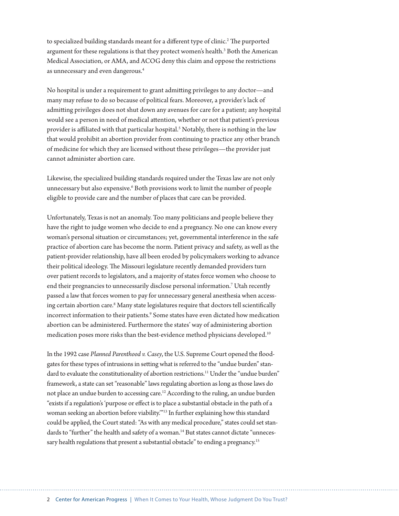to specialized building standards meant for a different type of clinic.<sup>2</sup> The purported argument for these regulations is that they protect women's health.<sup>3</sup> Both the American Medical Association, or AMA, and ACOG deny this claim and oppose the restrictions as unnecessary and even dangerous.4

No hospital is under a requirement to grant admitting privileges to any doctor—and many may refuse to do so because of political fears. Moreover, a provider's lack of admitting privileges does not shut down any avenues for care for a patient; any hospital would see a person in need of medical attention, whether or not that patient's previous provider is affiliated with that particular hospital.<sup>5</sup> Notably, there is nothing in the law that would prohibit an abortion provider from continuing to practice any other branch of medicine for which they are licensed without these privileges—the provider just cannot administer abortion care.

Likewise, the specialized building standards required under the Texas law are not only unnecessary but also expensive.<sup>6</sup> Both provisions work to limit the number of people eligible to provide care and the number of places that care can be provided.

Unfortunately, Texas is not an anomaly. Too many politicians and people believe they have the right to judge women who decide to end a pregnancy. No one can know every woman's personal situation or circumstances; yet, governmental interference in the safe practice of abortion care has become the norm. Patient privacy and safety, as well as the patient-provider relationship, have all been eroded by policymakers working to advance their political ideology. The Missouri legislature recently demanded providers turn over patient records to legislators, and a majority of states force women who choose to end their pregnancies to unnecessarily disclose personal information.<sup>7</sup> Utah recently passed a law that forces women to pay for unnecessary general anesthesia when accessing certain abortion care.<sup>8</sup> Many state legislatures require that doctors tell scientifically incorrect information to their patients.<sup>9</sup> Some states have even dictated how medication abortion can be administered. Furthermore the states' way of administering abortion medication poses more risks than the best-evidence method physicians developed.<sup>10</sup>

In the 1992 case *Planned Parenthood v. Casey*, the U.S. Supreme Court opened the floodgates for these types of intrusions in setting what is referred to the "undue burden" standard to evaluate the constitutionality of abortion restrictions.<sup>11</sup> Under the "undue burden" framework, a state can set "reasonable" laws regulating abortion as long as those laws do not place an undue burden to accessing care.<sup>12</sup> According to the ruling, an undue burden "exists if a regulation's 'purpose or effect is to place a substantial obstacle in the path of a woman seeking an abortion before viability.'"13 In further explaining how this standard could be applied, the Court stated: "As with any medical procedure," states could set standards to "further" the health and safety of a woman.<sup>14</sup> But states cannot dictate "unnecessary health regulations that present a substantial obstacle" to ending a pregnancy.<sup>15</sup>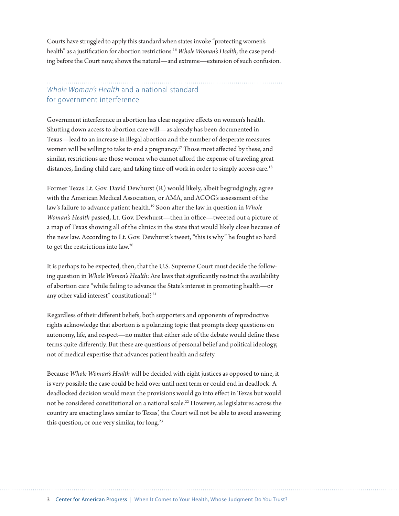Courts have struggled to apply this standard when states invoke "protecting women's health" as a justification for abortion restrictions.16 *Whole Woman's Health*, the case pending before the Court now, shows the natural—and extreme—extension of such confusion.

#### *Whole Woman's Health* and a national standard for government interference

Government interference in abortion has clear negative effects on women's health. Shutting down access to abortion care will—as already has been documented in Texas—lead to an increase in illegal abortion and the number of desperate measures women will be willing to take to end a pregnancy.17 Those most affected by these, and similar, restrictions are those women who cannot afford the expense of traveling great distances, finding child care, and taking time off work in order to simply access care.<sup>18</sup>

Former Texas Lt. Gov. David Dewhurst (R) would likely, albeit begrudgingly, agree with the American Medical Association, or AMA, and ACOG's assessment of the law's failure to advance patient health.19 Soon after the law in question in *Whole Woman's Health* passed, Lt. Gov. Dewhurst—then in office—tweeted out a picture of a map of Texas showing all of the clinics in the state that would likely close because of the new law. According to Lt. Gov. Dewhurst's tweet, "this is why" he fought so hard to get the restrictions into law.20

It is perhaps to be expected, then, that the U.S. Supreme Court must decide the following question in *Whole Women's Health*: Are laws that significantly restrict the availability of abortion care "while failing to advance the State's interest in promoting health—or any other valid interest" constitutional?<sup>21</sup>

Regardless of their different beliefs, both supporters and opponents of reproductive rights acknowledge that abortion is a polarizing topic that prompts deep questions on autonomy, life, and respect—no matter that either side of the debate would define these terms quite differently. But these are questions of personal belief and political ideology, not of medical expertise that advances patient health and safety.

Because *Whole Woman's Health* will be decided with eight justices as opposed to nine, it is very possible the case could be held over until next term or could end in deadlock. A deadlocked decision would mean the provisions would go into effect in Texas but would not be considered constitutional on a national scale.<sup>22</sup> However, as legislatures across the country are enacting laws similar to Texas', the Court will not be able to avoid answering this question, or one very similar, for long.<sup>23</sup>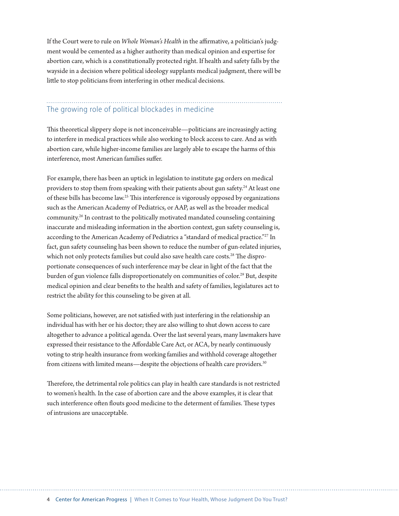If the Court were to rule on *Whole Woman's Health* in the affirmative, a politician's judgment would be cemented as a higher authority than medical opinion and expertise for abortion care, which is a constitutionally protected right. If health and safety falls by the wayside in a decision where political ideology supplants medical judgment, there will be little to stop politicians from interfering in other medical decisions.

## The growing role of political blockades in medicine

This theoretical slippery slope is not inconceivable—politicians are increasingly acting to interfere in medical practices while also working to block access to care. And as with abortion care, while higher-income families are largely able to escape the harms of this interference, most American families suffer.

For example, there has been an uptick in legislation to institute gag orders on medical providers to stop them from speaking with their patients about gun safety.<sup>24</sup> At least one of these bills has become law.25 This interference is vigorously opposed by organizations such as the American Academy of Pediatrics, or AAP, as well as the broader medical community.26 In contrast to the politically motivated mandated counseling containing inaccurate and misleading information in the abortion context, gun safety counseling is, according to the American Academy of Pediatrics a "standard of medical practice."27 In fact, gun safety counseling has been shown to reduce the number of gun-related injuries, which not only protects families but could also save health care costs.<sup>28</sup> The disproportionate consequences of such interference may be clear in light of the fact that the burden of gun violence falls disproportionately on communities of color.<sup>29</sup> But, despite medical opinion and clear benefits to the health and safety of families, legislatures act to restrict the ability for this counseling to be given at all.

Some politicians, however, are not satisfied with just interfering in the relationship an individual has with her or his doctor; they are also willing to shut down access to care altogether to advance a political agenda. Over the last several years, many lawmakers have expressed their resistance to the Affordable Care Act, or ACA, by nearly continuously voting to strip health insurance from working families and withhold coverage altogether from citizens with limited means—despite the objections of health care providers.<sup>30</sup>

Therefore, the detrimental role politics can play in health care standards is not restricted to women's health. In the case of abortion care and the above examples, it is clear that such interference often flouts good medicine to the determent of families. These types of intrusions are unacceptable.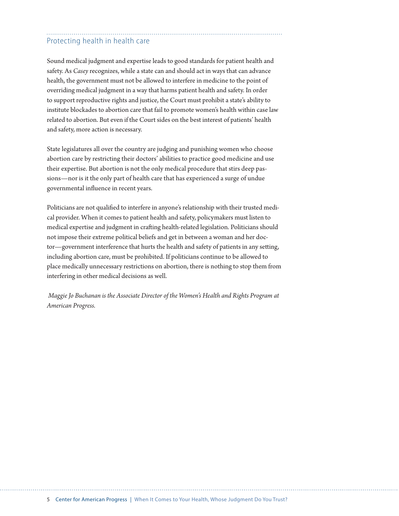### Protecting health in health care

Sound medical judgment and expertise leads to good standards for patient health and safety. As *Casey* recognizes, while a state can and should act in ways that can advance health, the government must not be allowed to interfere in medicine to the point of overriding medical judgment in a way that harms patient health and safety. In order to support reproductive rights and justice, the Court must prohibit a state's ability to institute blockades to abortion care that fail to promote women's health within case law related to abortion. But even if the Court sides on the best interest of patients' health and safety, more action is necessary.

State legislatures all over the country are judging and punishing women who choose abortion care by restricting their doctors' abilities to practice good medicine and use their expertise. But abortion is not the only medical procedure that stirs deep passions—nor is it the only part of health care that has experienced a surge of undue governmental influence in recent years.

Politicians are not qualified to interfere in anyone's relationship with their trusted medical provider. When it comes to patient health and safety, policymakers must listen to medical expertise and judgment in crafting health-related legislation. Politicians should not impose their extreme political beliefs and get in between a woman and her doctor—government interference that hurts the health and safety of patients in any setting, including abortion care, must be prohibited. If politicians continue to be allowed to place medically unnecessary restrictions on abortion, there is nothing to stop them from interfering in other medical decisions as well.

 *Maggie Jo Buchanan is the Associate Director of the Women's Health and Rights Program at American Progress.*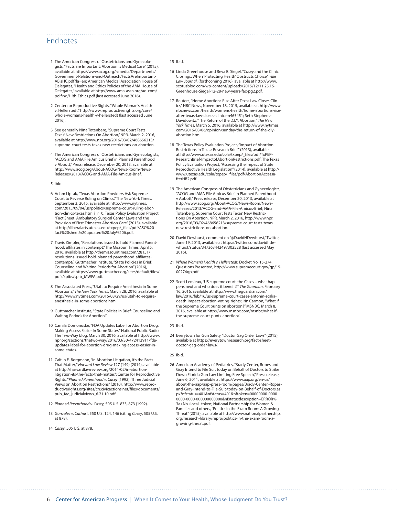#### Endnotes

- 1 The American Congress of Obstetricians and Gynecologists, "Facts are Important: Abortion is Medical Care" (2015), available at https://www.acog.org/-/media/Departments/ Government-Relations-and-Outreach/FactsAreImportant-ABisHC.pdf?la=en; American Medical Association House of Delegates, "Health and Ethics Policies of the AMA House of Delegates," available at http://www.ama-assn.org/ad-com/ polfind/Hlth-Ethics.pdf (last accessed June 2016).
- 2 Center for Reproductive Rights, "Whole Woman's Health v. Hellerstedt," [http://www.reproductiverights.org/case/](http://www.reproductiverights.org/case/whole-womans-health-v-hellerstedt) [whole-womans-health-v-hellerstedt](http://www.reproductiverights.org/case/whole-womans-health-v-hellerstedt) (last accessed June 2016).
- 3 See generally Nina Totenberg, "Supreme Court Tests Texas' New Restrictions On Abortion," NPR, March 2, 2016, available at [http://www.npr.org/2016/03/02/468656213/](http://www.npr.org/2016/03/02/468656213/supreme-court-tests-texas-new-restrictions-on-abortion) [supreme-court-tests-texas-new-restrictions-on-abortion.](http://www.npr.org/2016/03/02/468656213/supreme-court-tests-texas-new-restrictions-on-abortion)
- 4 The American Congress of Obstetricians and Gynecologists, "ACOG and AMA File Amicus Brief in Planned Parenthood v Abbott," Press release, December 20, 2013, available at [http://www.acog.org/About-ACOG/News-Room/News-](http://www.acog.org/About-ACOG/News-Room/News-Releases/2013/ACOG-and-AMA-File-Amicus-Brief)[Releases/2013/ACOG-and-AMA-File-Amicus-Brief](http://www.acog.org/About-ACOG/News-Room/News-Releases/2013/ACOG-and-AMA-File-Amicus-Brief).
- 5 Ibid.
- 6 Adam Liptak, "Texas Abortion Providers Ask Supreme Court to Reverse Ruling on Clinics," The New York Times, September 3, 2015, available at http://www.nytimes. com/2015/09/04/us/politics/supreme-court-ruling-abortion-clinics-texas.html?\_r=0; Texas Policy Evaluation Project, "Fact Sheet: Ambulatory Surgical Center Laws and the Provision of First-Trimester Abortion Care" (2015), available at http://liberalarts.utexas.edu/txpep/\_files/pdf/ASC%20 fact%20sheet%20updated%20July%206.pdf.
- 7 Travis Zimpfer, "Resolutions issued to hold Planned Parenthood, affiliates in contempt," The Missouri Times, April 5, 2016, available at [http://themissouritimes.com/28151/](http://themissouritimes.com/28151/resolutions-issued-hold-planned-parenthood-affiliates-contempt/) [resolutions-issued-hold-planned-parenthood-affiliates-](http://themissouritimes.com/28151/resolutions-issued-hold-planned-parenthood-affiliates-contempt/)[contempt/;](http://themissouritimes.com/28151/resolutions-issued-hold-planned-parenthood-affiliates-contempt/) Guttmacher Institute, "State Policies in Brief: Counseling and Waiting Periods for Abortion" (2016), available at [https://www.guttmacher.org/sites/default/files/](https://www.guttmacher.org/sites/default/files/pdfs/spibs/spib_MWPA.pdf) [pdfs/spibs/spib\\_MWPA.pdf](https://www.guttmacher.org/sites/default/files/pdfs/spibs/spib_MWPA.pdf).
- 8 The Associated Press, "Utah to Require Anesthesia in Some Abortions," *The New York Times*, March 28, 2016, available at [http://www.nytimes.com/2016/03/29/us/utah-to-require](http://www.nytimes.com/2016/03/29/us/utah-to-require-anesthesia-in-some-abortions.html)[anesthesia-in-some-abortions.html.](http://www.nytimes.com/2016/03/29/us/utah-to-require-anesthesia-in-some-abortions.html)
- 9 Guttmacher Institute, "State Policies in Brief: Counseling and Waiting Periods for Abortion."
- 10 Camila Domonoske, "FDA Updates Label for Abortion Drug, Making Access Easier In Some States," National Public Radio The Two-Way blog, March 30, 2016, available at [http://www.](http://www.npr.org/sections/thetwo-way/2016/03/30/472413911/fda-updates-label-for-abortion-drug-making-access-easier-in-some-states) [npr.org/sections/thetwo-way/2016/03/30/472413911/fda](http://www.npr.org/sections/thetwo-way/2016/03/30/472413911/fda-updates-label-for-abortion-drug-making-access-easier-in-some-states)[updates-label-for-abortion-drug-making-access-easier-in](http://www.npr.org/sections/thetwo-way/2016/03/30/472413911/fda-updates-label-for-abortion-drug-making-access-easier-in-some-states)[some-states.](http://www.npr.org/sections/thetwo-way/2016/03/30/472413911/fda-updates-label-for-abortion-drug-making-access-easier-in-some-states)
- 11 Caitlin E. Borgmann, "In Abortion Litigation, It's the Facts That Matter*,*" *Harvard Law Review* 127 (149) (2014), available at http://harvardlawreview.org/2014/02/in-abortionlitigation-its-the-facts-that-matter/; Center for Reproductive Rights, "*Planned Parenthood v. Casey* (1992): Three Judicial Views on Abortion Restrictions" (2010), [http://www.repro](http://www.reproductiverights.org/sites/crr.civicactions.net/files/documents/pub_fac_judicialviews_6.21.10.pdf)[ductiverights.org/sites/crr.civicactions.net/files/documents/](http://www.reproductiverights.org/sites/crr.civicactions.net/files/documents/pub_fac_judicialviews_6.21.10.pdf) [pub\\_fac\\_judicialviews\\_6.21.10.pdf](http://www.reproductiverights.org/sites/crr.civicactions.net/files/documents/pub_fac_judicialviews_6.21.10.pdf).
- 12 *Planned Parenthood v. Casey*, 505 U.S. 833, 873 (1992).
- 13 *Gonzalez v. Carhart*, 550 U.S. 124, 146 (citing *Casey*, 505 U.S. at 878).
- 14 *Casey*, 505 U.S. at 878.

#### 15 Ibid.

- 16 Linda Greenhouse and Reva B. Siegel, "*Casey* and the Clinic Closings: When 'Protecting Health' Obstructs Choice," *Yale Law Journal*, (forthcoming 2016), available at http://www. scotusblog.com/wp-content/uploads/2015/12/11.25.15- Greenhouse-Siegel-12-28-new-years-fac-pg2.pdf.
- 17 Reuters, "Home Abortions Rise After Texas Law Closes Clinics," NBC News, November 18, 2015, available at [http://www.](http://www.nbcnews.com/health/womens-health/home-abortions-rise-after-texas-law-closes-clinics-n465451) [nbcnews.com/health/womens-health/home-abortions-rise](http://www.nbcnews.com/health/womens-health/home-abortions-rise-after-texas-law-closes-clinics-n465451)[after-texas-law-closes-clinics-n465451](http://www.nbcnews.com/health/womens-health/home-abortions-rise-after-texas-law-closes-clinics-n465451); Seth Stephens-Davidowitz, "The Return of the D.I.Y. Abortion," *The New York Times*, March 5, 2016, available at [http://www.nytimes.](http://www.nytimes.com/2016/03/06/opinion/sunday/the-return-of-the-diy-abortion.html) [com/2016/03/06/opinion/sunday/the-return-of-the-diy](http://www.nytimes.com/2016/03/06/opinion/sunday/the-return-of-the-diy-abortion.html)abortion.html
- 18 The Texas Policy Evaluation Project, "Impact of Abortion Restrictions in Texas: Research Brief" (2013), available at [http://www.utexas.edu/cola/txpep/\\_files/pdf/TxPEP-](http://www.utexas.edu/cola/txpep/_files/pdf/TxPEP-ResearchBrief-ImpactofAbortionRestrictions.pdf)[ResearchBrief-ImpactofAbortionRestrictions.pdf](http://www.utexas.edu/cola/txpep/_files/pdf/TxPEP-ResearchBrief-ImpactofAbortionRestrictions.pdf); The Texas Policy Evaluation Project, "Assessing the Impact of State Reproductive Health Legislation" (2014), available at [http://](http://www.utexas.edu/cola/txpep/_files/pdf/AbortionAccessafterHB2.pdf) [www.utexas.edu/cola/txpep/\\_files/pdf/AbortionAccessa](http://www.utexas.edu/cola/txpep/_files/pdf/AbortionAccessafterHB2.pdf)[fterHB2.pdf](http://www.utexas.edu/cola/txpep/_files/pdf/AbortionAccessafterHB2.pdf).
- 19 The American Congress of Obstetricians and Gynecologists, "ACOG and AMA File Amicus Brief in Planned Parenthood v Abbott," Press release, December 20, 2013, available at [http://www.acog.org/About-ACOG/News-Room/News-](http://www.acog.org/About-ACOG/News-Room/News-Releases/2013/ACOG-and-AMA-File-Amicus-Brief)[Releases/2013/ACOG-and-AMA-File-Amicus-Brief;](http://www.acog.org/About-ACOG/News-Room/News-Releases/2013/ACOG-and-AMA-File-Amicus-Brief) Nina Totenberg, Supreme Court Tests Texas' New Restrictions On Abortion, NPR, March 2, 2016, [http://www.npr.](http://www.npr.org/2016/03/02/468656213/supreme-court-tests-texas-new-restrictions-on-abortion) [org/2016/03/02/468656213/supreme-court-tests-texas](http://www.npr.org/2016/03/02/468656213/supreme-court-tests-texas-new-restrictions-on-abortion)[new-restrictions-on-abortion.](http://www.npr.org/2016/03/02/468656213/supreme-court-tests-texas-new-restrictions-on-abortion)
- 20 David Dewhurst, comment on "@DavidHDewhurst," Twitter, June 19, 2013, available at [https://twitter.com/davidhde](https://twitter.com/davidhdewhurst/status/347363442497302528)[whurst/status/347363442497302528](https://twitter.com/davidhdewhurst/status/347363442497302528) (last accessed May 2016).
- 21 *Whole Women's Health v. Hellerstedt*, Docket No. 15-274, Questions Presented, [http://www.supremecourt.gov/qp/15-](http://www.supremecourt.gov/qp/15-00274qp.pdf) [00274qp.pdf.](http://www.supremecourt.gov/qp/15-00274qp.pdf)
- 22 Scott Lemieux, "US supreme court: the Cases what happens next and who does it benefit?" *The Guardian*, February 16, 2016, available at [http://www.theguardian.com/](http://www.theguardian.com/law/2016/feb/16/us-supreme-court-cases-antonin-scalia-death-impact-abortion-voting-rights) [law/2016/feb/16/us-supreme-court-cases-antonin-scalia-](http://www.theguardian.com/law/2016/feb/16/us-supreme-court-cases-antonin-scalia-death-impact-abortion-voting-rights)[death-impact-abortion-voting-rights;](http://www.theguardian.com/law/2016/feb/16/us-supreme-court-cases-antonin-scalia-death-impact-abortion-voting-rights) Irin Carmon, "What if the Supreme Court punts on abortion?" MSNBC, March 8, 2016, available at [http://www.msnbc.com/msnbc/what-if](http://www.msnbc.com/msnbc/what-if-the-supreme-court-punts-abortion/)[the-supreme-court-punts-abortion/](http://www.msnbc.com/msnbc/what-if-the-supreme-court-punts-abortion/).
- 23 Ibid.
- 24 Everytown for Gun Safety, "Doctor Gag Order Laws" (2015), available at [https://everytownresearch.org/fact-sheet](https://everytownresearch.org/fact-sheet-doctor-gag-order-laws/)[doctor-gag-order-laws/.](https://everytownresearch.org/fact-sheet-doctor-gag-order-laws/)

#### 25 Ibid.

26 American Academy of Pediatrics, "Brady Center, Ropes and Gray Intend to File Suit today on Behalf of Doctors to Strike Down Florida Gun Law Limiting Free Speech," Press release, June 6, 2011, available at [https://www.aap.org/en-us/](https://www.aap.org/en-us/about-the-aap/aap-press-room/pages/Brady-Center,-Ropes-and-Gray-Intend-to-File-Suit-today-on-Behalf-of-Doctors.aspx?nfstatus=401&nfstatus=401&nftoken=00000000-0000-0000-0000-000000000000&nfstatusdescription=ERROR%3a+No+local+token%20) [about-the-aap/aap-press-room/pages/Brady-Center,-Ropes-](https://www.aap.org/en-us/about-the-aap/aap-press-room/pages/Brady-Center,-Ropes-and-Gray-Intend-to-File-Suit-today-on-Behalf-of-Doctors.aspx?nfstatus=401&nfstatus=401&nftoken=00000000-0000-0000-0000-000000000000&nfstatusdescription=ERROR%3a+No+local+token%20)[and-Gray-Intend-to-File-Suit-today-on-Behalf-of-Doctors.as](https://www.aap.org/en-us/about-the-aap/aap-press-room/pages/Brady-Center,-Ropes-and-Gray-Intend-to-File-Suit-today-on-Behalf-of-Doctors.aspx?nfstatus=401&nfstatus=401&nftoken=00000000-0000-0000-0000-000000000000&nfstatusdescription=ERROR%3a+No+local+token%20) [px?nfstatus=401&nfstatus=401&nftoken=00000000-0000-](https://www.aap.org/en-us/about-the-aap/aap-press-room/pages/Brady-Center,-Ropes-and-Gray-Intend-to-File-Suit-today-on-Behalf-of-Doctors.aspx?nfstatus=401&nfstatus=401&nftoken=00000000-0000-0000-0000-000000000000&nfstatusdescription=ERROR%3a+No+local+token%20) [0000-0000-000000000000&nfstatusdescription=ERROR%](https://www.aap.org/en-us/about-the-aap/aap-press-room/pages/Brady-Center,-Ropes-and-Gray-Intend-to-File-Suit-today-on-Behalf-of-Doctors.aspx?nfstatus=401&nfstatus=401&nftoken=00000000-0000-0000-0000-000000000000&nfstatusdescription=ERROR%3a+No+local+token%20) [3a+No+local+token](https://www.aap.org/en-us/about-the-aap/aap-press-room/pages/Brady-Center,-Ropes-and-Gray-Intend-to-File-Suit-today-on-Behalf-of-Doctors.aspx?nfstatus=401&nfstatus=401&nftoken=00000000-0000-0000-0000-000000000000&nfstatusdescription=ERROR%3a+No+local+token%20); National Partnership for Women & Families and others, "Politics in the Exam Room: A Growing Threat" (2015), available at http://www.nationalpartnership. org/research-library/repro/politics-in-the-exam-room-agrowing-threat.pdf.